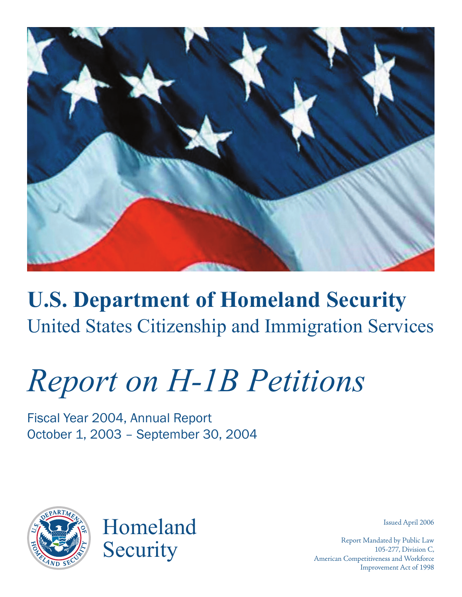

## **U.S. Department of Homeland Security** United States Citizenship and Immigration Services

# *Report on H-1B Petitions*

Fiscal Year 2004, Annual Report October 1, 2003 – September 30, 2004



Homeland **Security** 

Issued April 2006

Report Mandated by Public Law 105-277, Division C, American Competitiveness and Workforce Improvement Act of 1998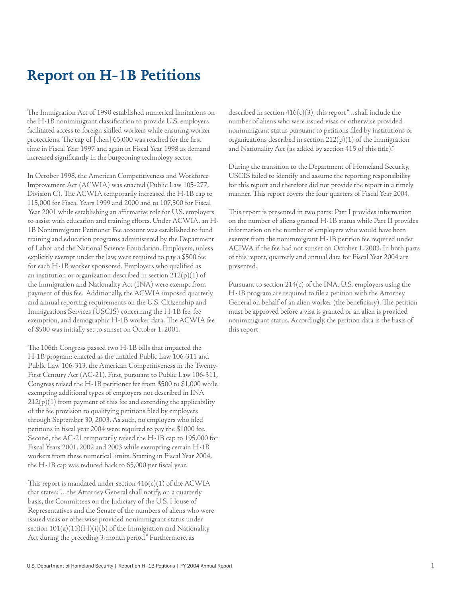### **Report on H-1B Petitions**

The Immigration Act of 1990 established numerical limitations on the H-1B nonimmigrant classification to provide U.S. employers facilitated access to foreign skilled workers while ensuring worker protections. The cap of [then] 65,000 was reached for the first time in Fiscal Year 1997 and again in Fiscal Year 1998 as demand increased significantly in the burgeoning technology sector.

In October 1998, the American Competitiveness and Workforce Improvement Act (ACWIA) was enacted (Public Law 105-277, Division C). The ACWIA temporarily increased the H-1B cap to 115,000 for Fiscal Years 1999 and 2000 and to 107,500 for Fiscal Year 2001 while establishing an affirmative role for U.S. employers to assist with education and training efforts. Under ACWIA, an H-1B Nonimmigrant Petitioner Fee account was established to fund training and education programs administered by the Department of Labor and the National Science Foundation. Employers, unless explicitly exempt under the law, were required to pay a \$500 fee for each H-1B worker sponsored. Employers who qualified as an institution or organization described in section  $212(p)(1)$  of the Immigration and Nationality Act (INA) were exempt from payment of this fee. Additionally, the ACWIA imposed quarterly and annual reporting requirements on the U.S. Citizenship and Immigrations Services (USCIS) concerning the H-1B fee, fee exemption, and demographic H-1B worker data. The ACWIA fee of \$500 was initially set to sunset on October 1, 2001.

The 106th Congress passed two H-1B bills that impacted the H-1B program; enacted as the untitled Public Law 106-311 and Public Law 106-313, the American Competitiveness in the Twenty-First Century Act (AC-21). First, pursuant to Public Law 106-311, Congress raised the H-1B petitioner fee from \$500 to \$1,000 while exempting additional types of employers not described in INA  $212(p)(1)$  from payment of this fee and extending the applicability of the fee provision to qualifying petitions filed by employers through September 30, 2003. As such, no employers who filed petitions in fiscal year 2004 were required to pay the \$1000 fee. Second, the AC-21 temporarily raised the H-1B cap to 195,000 for Fiscal Years 2001, 2002 and 2003 while exempting certain H-1B workers from these numerical limits. Starting in Fiscal Year 2004, the H-1B cap was reduced back to 65,000 per fiscal year.

This report is mandated under section  $416(c)(1)$  of the ACWIA that states: "…the Attorney General shall notify, on a quarterly basis, the Committees on the Judiciary of the U.S. House of Representatives and the Senate of the numbers of aliens who were issued visas or otherwise provided nonimmigrant status under section  $101(a)(15)(H)(i)(b)$  of the Immigration and Nationality Act during the preceding 3-month period." Furthermore, as

described in section  $416(c)(3)$ , this report "...shall include the number of aliens who were issued visas or otherwise provided nonimmigrant status pursuant to petitions filed by institutions or organizations described in section  $212(p)(1)$  of the Immigration and Nationality Act (as added by section 415 of this title)."

During the transition to the Department of Homeland Security, USCIS failed to identify and assume the reporting responsibility for this report and therefore did not provide the report in a timely manner. This report covers the four quarters of Fiscal Year 2004.

This report is presented in two parts: Part I provides information on the number of aliens granted H-1B status while Part II provides information on the number of employers who would have been exempt from the nonimmigrant H-1B petition fee required under ACIWA if the fee had not sunset on October 1, 2003. In both parts of this report, quarterly and annual data for Fiscal Year 2004 are presented.

Pursuant to section  $214(c)$  of the INA, U.S. employers using the H-1B program are required to file a petition with the Attorney General on behalf of an alien worker (the beneficiary). The petition must be approved before a visa is granted or an alien is provided nonimmigrant status. Accordingly, the petition data is the basis of this report.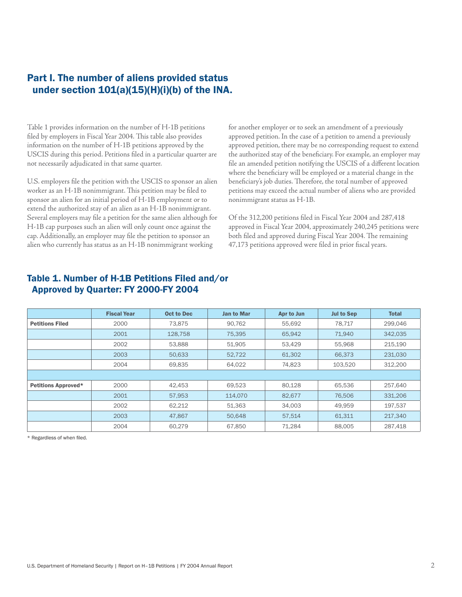#### Part I. The number of aliens provided status under section  $101(a)(15)(H)(i)(b)$  of the INA.

Table 1 provides information on the number of H-1B petitions filed by employers in Fiscal Year 2004. This table also provides information on the number of H-1B petitions approved by the USCIS during this period. Petitions filed in a particular quarter are not necessarily adjudicated in that same quarter.

U.S. employers file the petition with the USCIS to sponsor an alien worker as an H-1B nonimmigrant. This petition may be filed to sponsor an alien for an initial period of H-1B employment or to extend the authorized stay of an alien as an H-1B nonimmigrant. Several employers may file a petition for the same alien although for H-1B cap purposes such an alien will only count once against the cap. Additionally, an employer may file the petition to sponsor an alien who currently has status as an H-1B nonimmigrant working

for another employer or to seek an amendment of a previously approved petition. In the case of a petition to amend a previously approved petition, there may be no corresponding request to extend the authorized stay of the beneficiary. For example, an employer may file an amended petition notifying the USCIS of a different location where the beneficiary will be employed or a material change in the beneficiary's job duties. Therefore, the total number of approved petitions may exceed the actual number of aliens who are provided nonimmigrant status as H-1B.

Of the 312,200 petitions filed in Fiscal Year 2004 and 287,418 approved in Fiscal Year 2004, approximately 240,245 petitions were both filed and approved during Fiscal Year 2004. The remaining 47,173 petitions approved were filed in prior fiscal years.

|                        | <b>Fiscal Year</b> | <b>Oct to Dec</b> | <b>Jan to Mar</b> | Apr to Jun | <b>Jul to Sep</b> | <b>Total</b> |
|------------------------|--------------------|-------------------|-------------------|------------|-------------------|--------------|
| <b>Petitions Filed</b> | 2000               | 73,875            | 90,762            | 55,692     | 78.717            | 299,046      |
|                        | 2001               | 128,758           | 75,395            | 65,942     | 71,940            | 342,035      |
|                        | 2002               | 53,888            | 51,905            | 53,429     | 55,968            | 215,190      |
|                        | 2003               | 50.633            | 52,722            | 61,302     | 66,373            | 231,030      |
|                        | 2004               | 69,835            | 64,022            | 74,823     | 103,520           | 312,200      |
|                        |                    |                   |                   |            |                   |              |
| Petitions Approved*    | 2000               | 42,453            | 69,523            | 80,128     | 65,536            | 257,640      |
|                        | 2001               | 57,953            | 114,070           | 82,677     | 76,506            | 331,206      |
|                        | 2002               | 62,212            | 51,363            | 34,003     | 49,959            | 197,537      |
|                        | 2003               | 47.867            | 50,648            | 57,514     | 61,311            | 217,340      |
|                        | 2004               | 60,279            | 67.850            | 71,284     | 88.005            | 287,418      |

#### Table 1. Number of H-1B Petitions Filed and/or Approved by Quarter: FY 2000-FY 2004

\* Regardless of when filed.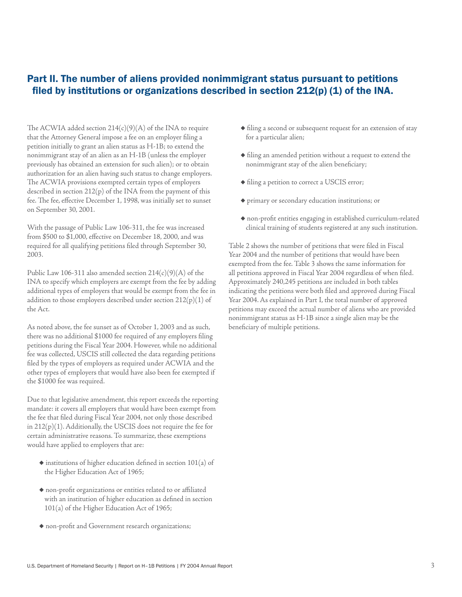#### Part II. The number of aliens provided nonimmigrant status pursuant to petitions filed by institutions or organizations described in section 212(p) (1) of the INA.

The ACWIA added section  $214(c)(9)(A)$  of the INA to require that the Attorney General impose a fee on an employer filing a petition initially to grant an alien status as H-1B; to extend the nonimmigrant stay of an alien as an H-1B (unless the employer previously has obtained an extension for such alien); or to obtain authorization for an alien having such status to change employers. The ACWIA provisions exempted certain types of employers described in section 212(p) of the INA from the payment of this fee. The fee, effective December 1, 1998, was initially set to sunset on September 30, 2001.

With the passage of Public Law 106-311, the fee was increased from \$500 to \$1,000, effective on December 18, 2000, and was required for all qualifying petitions filed through September 30, 2003.

Public Law 106-311 also amended section  $214(c)(9)(A)$  of the INA to specify which employers are exempt from the fee by adding additional types of employers that would be exempt from the fee in addition to those employers described under section  $212(p)(1)$  of the Act.

As noted above, the fee sunset as of October 1, 2003 and as such, there was no additional \$1000 fee required of any employers filing petitions during the Fiscal Year 2004. However, while no additional fee was collected, USCIS still collected the data regarding petitions filed by the types of employers as required under ACWIA and the other types of employers that would have also been fee exempted if the \$1000 fee was required.

Due to that legislative amendment, this report exceeds the reporting mandate: it covers all employers that would have been exempt from the fee that filed during Fiscal Year 2004, not only those described in 212(p)(1). Additionally, the USCIS does not require the fee for certain administrative reasons. To summarize, these exemptions would have applied to employers that are:

- ◆ institutions of higher education defined in section 101(a) of the Higher Education Act of 1965;
- ◆ non-profit organizations or entities related to or affiliated with an institution of higher education as defined in section 101(a) of the Higher Education Act of 1965;
- ◆ non-profit and Government research organizations;
- ◆ filing a second or subsequent request for an extension of stay for a particular alien;
- ◆ filing an amended petition without a request to extend the nonimmigrant stay of the alien beneficiary;
- ◆ filing a petition to correct a USCIS error;
- ◆ primary or secondary education institutions; or
- ◆ non-profit entities engaging in established curriculum-related clinical training of students registered at any such institution.

Table 2 shows the number of petitions that were filed in Fiscal Year 2004 and the number of petitions that would have been exempted from the fee. Table 3 shows the same information for all petitions approved in Fiscal Year 2004 regardless of when filed. Approximately 240,245 petitions are included in both tables indicating the petitions were both filed and approved during Fiscal Year 2004. As explained in Part I, the total number of approved petitions may exceed the actual number of aliens who are provided nonimmigrant status as H-1B since a single alien may be the beneficiary of multiple petitions.